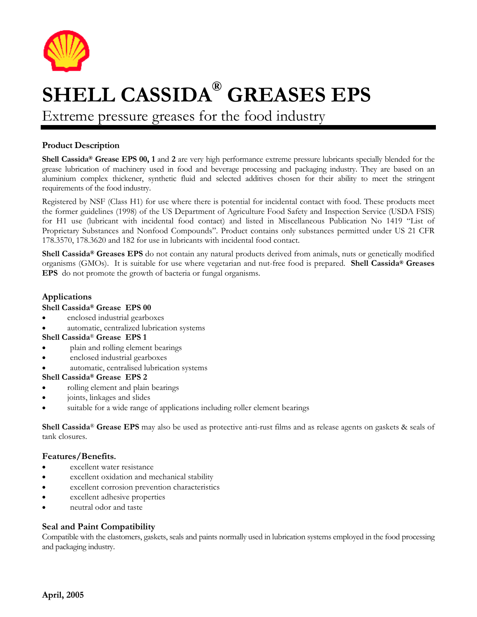

# **SHELL CASSIDA® GREASES EPS**

Extreme pressure greases for the food industry

# **Product Description**

**Shell Cassida® Grease EPS 00, 1 and 2 are very high performance extreme pressure lubricants specially blended for the** grease lubrication of machinery used in food and beverage processing and packaging industry. They are based on an aluminium complex thickener, synthetic fluid and selected additives chosen for their ability to meet the stringent requirements of the food industry.

Registered by NSF (Class H1) for use where there is potential for incidental contact with food. These products meet the former guidelines (1998) of the US Department of Agriculture Food Safety and Inspection Service (USDA FSIS) for H1 use (lubricant with incidental food contact) and listed in Miscellaneous Publication No 1419 "List of Proprietary Substances and Nonfood Compounds". Product contains only substances permitted under US 21 CFR 178.3570, 178.3620 and 182 for use in lubricants with incidental food contact.

**Shell Cassida® Greases EPS** do not contain any natural products derived from animals, nuts or genetically modified organisms (GMOs). It is suitable for use where vegetarian and nut-free food is prepared. **Shell Cassida® Greases EPS** do not promote the growth of bacteria or fungal organisms.

#### **Applications**

#### **Shell Cassida® Grease EPS 00**

- enclosed industrial gearboxes
- automatic, centralized lubrication systems

#### **Shell Cassida**® **Grease EPS 1**

- plain and rolling element bearings
- enclosed industrial gearboxes
- automatic, centralised lubrication systems

#### **Shell Cassida® Grease EPS 2**

- rolling element and plain bearings
- joints, linkages and slides
- suitable for a wide range of applications including roller element bearings

**Shell Cassida**® **Grease EPS** may also be used as protective anti-rust films and as release agents on gaskets & seals of tank closures.

#### **Features/Benefits.**

- excellent water resistance
- excellent oxidation and mechanical stability
- excellent corrosion prevention characteristics
- excellent adhesive properties
- neutral odor and taste

#### **Seal and Paint Compatibility**

Compatible with the elastomers, gaskets, seals and paints normally used in lubrication systems employed in the food processing and packaging industry.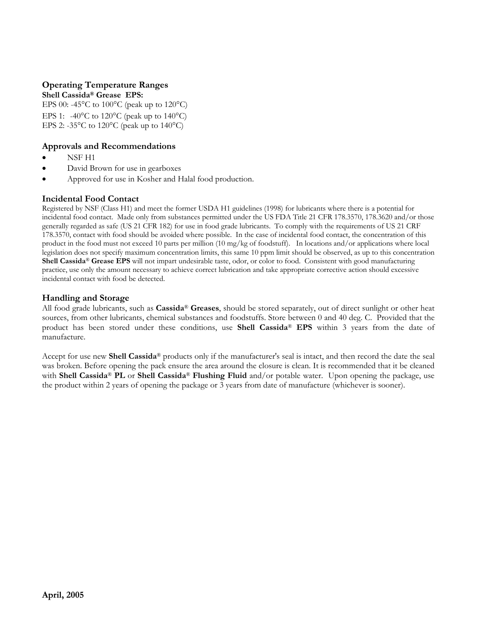# **Operating Temperature Ranges**

**Shell Cassida® Grease EPS:** 

EPS 00: -45°C to 100°C (peak up to 120°C) EPS 1: -40 $^{\circ}$ C to 120 $^{\circ}$ C (peak up to 140 $^{\circ}$ C) EPS 2: -35 $\degree$ C to 120 $\degree$ C (peak up to 140 $\degree$ C)

# **Approvals and Recommendations**

- NSF H1
- David Brown for use in gearboxes
- Approved for use in Kosher and Halal food production.

# **Incidental Food Contact**

Registered by NSF (Class H1) and meet the former USDA H1 guidelines (1998) for lubricants where there is a potential for incidental food contact. Made only from substances permitted under the US FDA Title 21 CFR 178.3570, 178.3620 and/or those generally regarded as safe (US 21 CFR 182) for use in food grade lubricants. To comply with the requirements of US 21 CRF 178.3570, contact with food should be avoided where possible. In the case of incidental food contact, the concentration of this product in the food must not exceed 10 parts per million (10 mg/kg of foodstuff). In locations and/or applications where local legislation does not specify maximum concentration limits, this same 10 ppm limit should be observed, as up to this concentration **Shell Cassida**® **Grease EPS** will not impart undesirable taste, odor, or color to food. Consistent with good manufacturing practice, use only the amount necessary to achieve correct lubrication and take appropriate corrective action should excessive incidental contact with food be detected.

# **Handling and Storage**

All food grade lubricants, such as **Cassida**® **Greases**, should be stored separately, out of direct sunlight or other heat sources, from other lubricants, chemical substances and foodstuffs. Store between 0 and 40 deg. C. Provided that the product has been stored under these conditions, use **Shell Cassida**® **EPS** within 3 years from the date of manufacture.

Accept for use new **Shell Cassida**® products only if the manufacturer's seal is intact, and then record the date the seal was broken. Before opening the pack ensure the area around the closure is clean. It is recommended that it be cleaned with **Shell Cassida**® **PL** or **Shell Cassida**® **Flushing Fluid** and/or potable water. Upon opening the package, use the product within 2 years of opening the package or 3 years from date of manufacture (whichever is sooner).